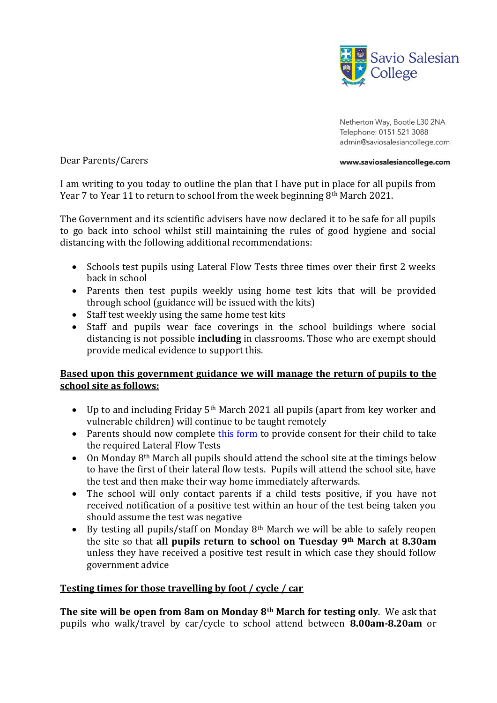

Netherton Way, Bootle L30 2NA Telephone: 0151 521 3088 admin@saviosalesiancollege.com

#### Dear Parents/Carers

#### www.saviosalesiancollege.com

I am writing to you today to outline the plan that I have put in place for all pupils from Year 7 to Year 11 to return to school from the week beginning 8<sup>th</sup> March 2021.

The Government and its scientific advisers have now declared it to be safe for all pupils to go back into school whilst still maintaining the rules of good hygiene and social distancing with the following additional recommendations:

- Schools test pupils using Lateral Flow Tests three times over their first 2 weeks back in school
- Parents then test pupils weekly using home test kits that will be provided through school (guidance will be issued with the kits)
- Staff test weekly using the same home test kits
- Staff and pupils wear face coverings in the school buildings where social distancing is not possible **including** in classrooms. Those who are exempt should provide medical evidence to support this.

# **Based upon this government guidance we will manage the return of pupils to the school site as follows:**

- $\bullet$  Up to and including Friday 5<sup>th</sup> March 2021 all pupils (apart from key worker and vulnerable children) will continue to be taught remotely
- Parents should now complete [this form](https://forms.office.com/Pages/ResponsePage.aspx?id=28rqfUI5iU6h5qDhBqFxo79JRwe_9K1Dk5RuEUS5o3BUNjlKQjlHWElEVElBRUtJV0NJUUE3WFVSOS4u) to provide consent for their child to take the required Lateral Flow Tests
- On Monday  $8<sup>th</sup>$  March all pupils should attend the school site at the timings below to have the first of their lateral flow tests. Pupils will attend the school site, have the test and then make their way home immediately afterwards.
- The school will only contact parents if a child tests positive, if you have not received notification of a positive test within an hour of the test being taken you should assume the test was negative
- By testing all pupils/staff on Monday  $8<sup>th</sup>$  March we will be able to safely reopen the site so that **all pupils return to school on Tuesday 9th March at 8.30am**  unless they have received a positive test result in which case they should follow government advice

# **Testing times for those travelling by foot / cycle / car**

**The site will be open from 8am on Monday 8th March for testing only**. We ask that pupils who walk/travel by car/cycle to school attend between **8.00am-8.20am** or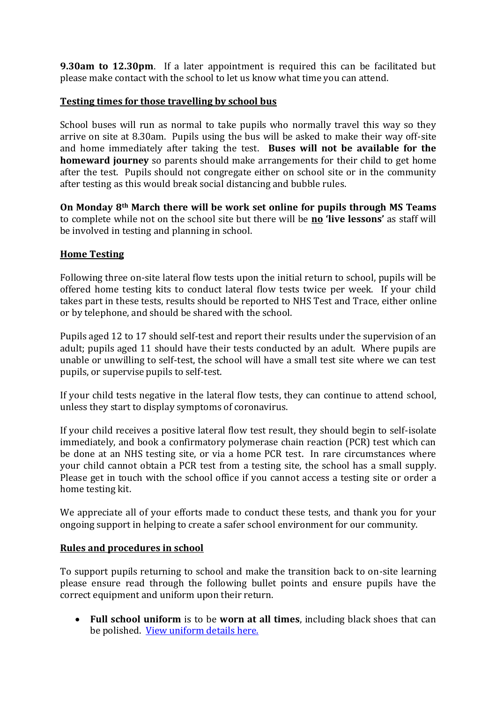**9.30am to 12.30pm**. If a later appointment is required this can be facilitated but please make contact with the school to let us know what time you can attend.

## **Testing times for those travelling by school bus**

School buses will run as normal to take pupils who normally travel this way so they arrive on site at 8.30am. Pupils using the bus will be asked to make their way off-site and home immediately after taking the test. **Buses will not be available for the homeward journey** so parents should make arrangements for their child to get home after the test. Pupils should not congregate either on school site or in the community after testing as this would break social distancing and bubble rules.

**On Monday 8th March there will be work set online for pupils through MS Teams** to complete while not on the school site but there will be **no 'live lessons'** as staff will be involved in testing and planning in school.

## **Home Testing**

Following three on-site lateral flow tests upon the initial return to school, pupils will be offered home testing kits to conduct lateral flow tests twice per week. If your child takes part in these tests, results should be reported to NHS Test and Trace, either online or by telephone, and should be shared with the school.

Pupils aged 12 to 17 should self-test and report their results under the supervision of an adult; pupils aged 11 should have their tests conducted by an adult. Where pupils are unable or unwilling to self-test, the school will have a small test site where we can test pupils, or supervise pupils to self-test.

If your child tests negative in the lateral flow tests, they can continue to attend school, unless they start to display symptoms of coronavirus.

If your child receives a positive lateral flow test result, they should begin to self-isolate immediately, and book a confirmatory polymerase chain reaction (PCR) test which can be done at an NHS testing site, or via a home PCR test. In rare circumstances where your child cannot obtain a PCR test from a testing site, the school has a small supply. Please get in touch with the school office if you cannot access a testing site or order a home testing kit.

We appreciate all of your efforts made to conduct these tests, and thank you for your ongoing support in helping to create a safer school environment for our community.

### **Rules and procedures in school**

To support pupils returning to school and make the transition back to on-site learning please ensure read through the following bullet points and ensure pupils have the correct equipment and uniform upon their return.

 **Full school uniform** is to be **worn at all times**, including black shoes that can be polished.[View uniform details here.](http://www.saviosalesiancollege.com/innerpage.php?rowid=57)